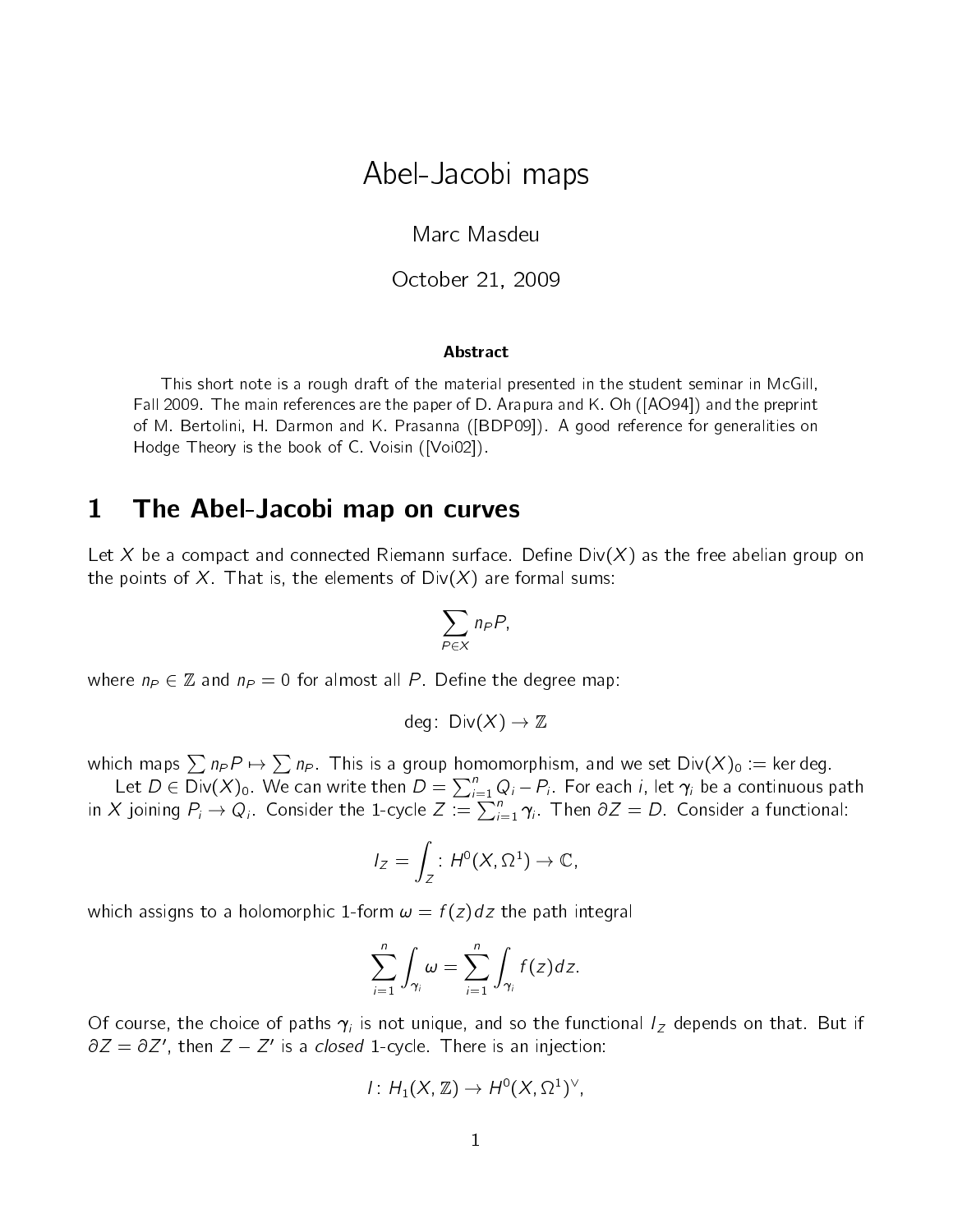# Abel-Jacobi maps

Marc Masdeu

October 21, 2009

#### Abstract

This short note is a rough draft of the material presented in the student seminar in McGill, Fall 2009. The main references are the paper of D. Arapura and K. Oh ([AO94]) and the preprint of M. Bertolini, H. Darmon and K. Prasanna ([BDP09]). A good reference for generalities on Hodge Theory is the book of C. Voisin ([Voi02]).

#### 1 The Abel-Jacobi map on curves

Let X be a compact and connected Riemann surface. Define Div(X) as the free abelian group on the points of X. That is, the elements of  $Div(X)$  are formal sums:

$$
\sum_{P \in X} n_P P,
$$

where  $n_P \in \mathbb{Z}$  and  $n_P = 0$  for almost all P. Define the degree map:

$$
\mathsf{deg} \colon \operatorname{\mathsf{Div}}(X) \to \mathbb{Z}
$$

which maps  $\sum n_P P \mapsto \sum n_P$  . This is a group homomorphism, and we set  $\mathsf{Div}(X)_0 :=$  ker deg. Let  $D\in \overline{{\rm Div}}(X)_0.$  We can write then  $D=\sum_{i=1}^n Q_i - P_i.$  For each  $i,$  let  $\pmb{\gamma}_i$  be a continuous path

in X joining  $P_i \to Q_i$ . Consider the 1-cycle  $Z:=\sum_{i=1}^n \gamma_i$ . Then  $\partial Z=D$ . Consider a functional:

$$
I_Z = \int_Z : H^0(X, \Omega^1) \to \mathbb{C},
$$

which assigns to a holomorphic 1-form  $\omega = f(z)dz$  the path integral

$$
\sum_{i=1}^n \int_{\gamma_i} \omega = \sum_{i=1}^n \int_{\gamma_i} f(z) dz.
$$

Of course, the choice of paths  $\gamma_i$  is not unique, and so the functional  $I_Z$  depends on that. But if  $\partial Z = \partial Z'$ , then  $Z - Z'$  is a *closed* 1-cycle. There is an injection:

$$
I: H_1(X, \mathbb{Z}) \to H^0(X, \Omega^1)^{\vee},
$$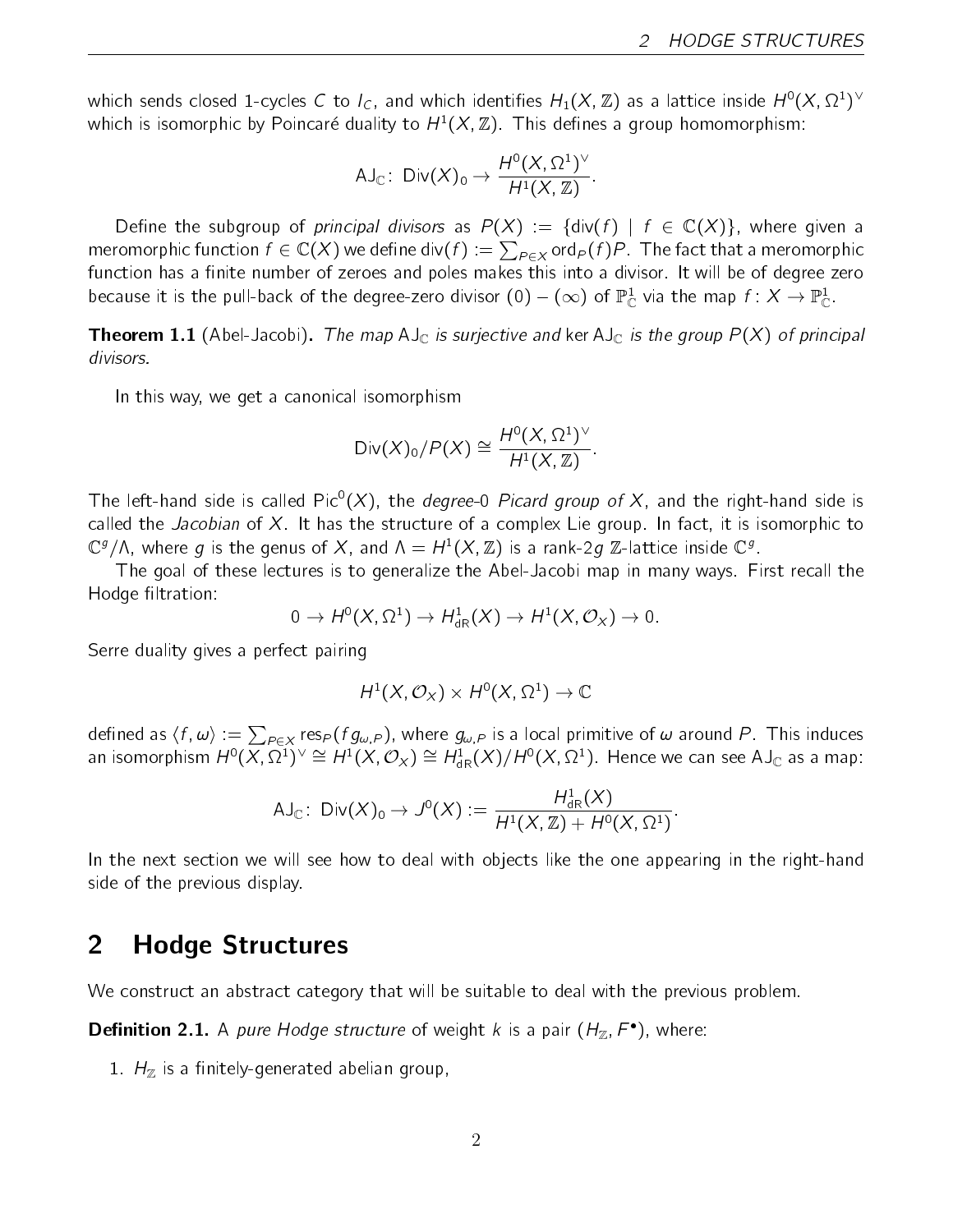which sends closed 1-cycles  $C$  to  $I_C$ , and which identifies  $H_1(X,\Z)$  as a lattice inside  $H^0(X,\Omega^1)^\vee$ which is isomorphic by Poincaré duality to  $H^1(X,\mathbb{Z})$ . This defines a group homomorphism:

$$
\mathsf{AJ}_\mathbb{C}\colon\operatorname{\mathsf{Div}}(X)_0\to\frac{H^0(X,\Omega^1)^\vee}{H^1(X,\mathbb{Z})}.
$$

Define the subgroup of principal divisors as  $P(X) = \{ \text{div}(f) \mid f \in \mathbb{C}(X) \}$ , where given a meromorphic function  $f\in \mathbb{C}(X)$  we define div $(f):=\sum_{P\in X}$ ord $_P(f)P$  . The fact that a meromorphic function has a finite number of zeroes and poles makes this into a divisor. It will be of degree zero because it is the pull-back of the degree-zero divisor  $(0)-(\infty)$  of  $\mathbb{P}^1_\mathbb{C}$  via the map  $f\colon X\to\mathbb{P}^1_\mathbb{C}$ .

**Theorem 1.1** (Abel-Jacobi). The map AJ<sub>C</sub> is surjective and ker AJ<sub>C</sub> is the group  $P(X)$  of principal divisors.

In this way, we get a canonical isomorphism

Div
$$
(X)_0/P(X) \cong \frac{H^0(X, \Omega^1)^{\vee}}{H^1(X, \mathbb{Z})}
$$
.

The left-hand side is called Pic $^{0}(X)$ , the *degree-*0 *Picard group of X*, and the right-hand side is called the Jacobian of X. It has the structure of a complex Lie group. In fact, it is isomorphic to  $\mathbb{C}^g/\Lambda$ , where  $g$  is the genus of  $X$ , and  $\Lambda=H^1(X,\mathbb{Z})$  is a rank-2 $g$   $\mathbb{Z}$ -lattice inside  $\mathbb{C}^g$ .

The goal of these lectures is to generalize the Abel-Jacobi map in many ways. First recall the Hodge filtration:

$$
0 \to H^0(X, \Omega^1) \to H^1_{dR}(X) \to H^1(X, \mathcal{O}_X) \to 0.
$$

Serre duality gives a perfect pairing

$$
H^1(X, \mathcal{O}_X) \times H^0(X, \Omega^1) \to \mathbb{C}
$$

defined as  $\langle f, \omega\rangle := \sum_{P\in X} {\rm res}_P(fg_{\omega,P}),$  where  $g_{\omega,P}$  is a local primitive of  $\omega$  around  $P.$  This induces an isomorphism  $H^0(\overline{X},\Omega^1)^\vee\cong H^1(X,\mathcal{O}_X)\cong H^1_{\rm dR}(X)/H^0(X,\Omega^1)$ . Hence we can see AJ $_\mathbb{C}$  as a map:

$$
\mathsf{AJ}_\mathbb{C}\colon\operatorname{\mathsf{Div}}(X)_0\to\mathsf{J}^0(X):=\frac{H^1_{\operatorname{dR}}(X)}{H^1(X,\mathbb{Z})+H^0(X,\Omega^1)}.
$$

In the next section we will see how to deal with objects like the one appearing in the right-hand side of the previous display.

### 2 Hodge Structures

We construct an abstract category that will be suitable to deal with the previous problem.

**Definition 2.1.** A pure Hodge structure of weight k is a pair  $(H_{\mathbb{Z}}, F^{\bullet})$ , where:

1.  $H_{\mathbb{Z}}$  is a finitely-generated abelian group,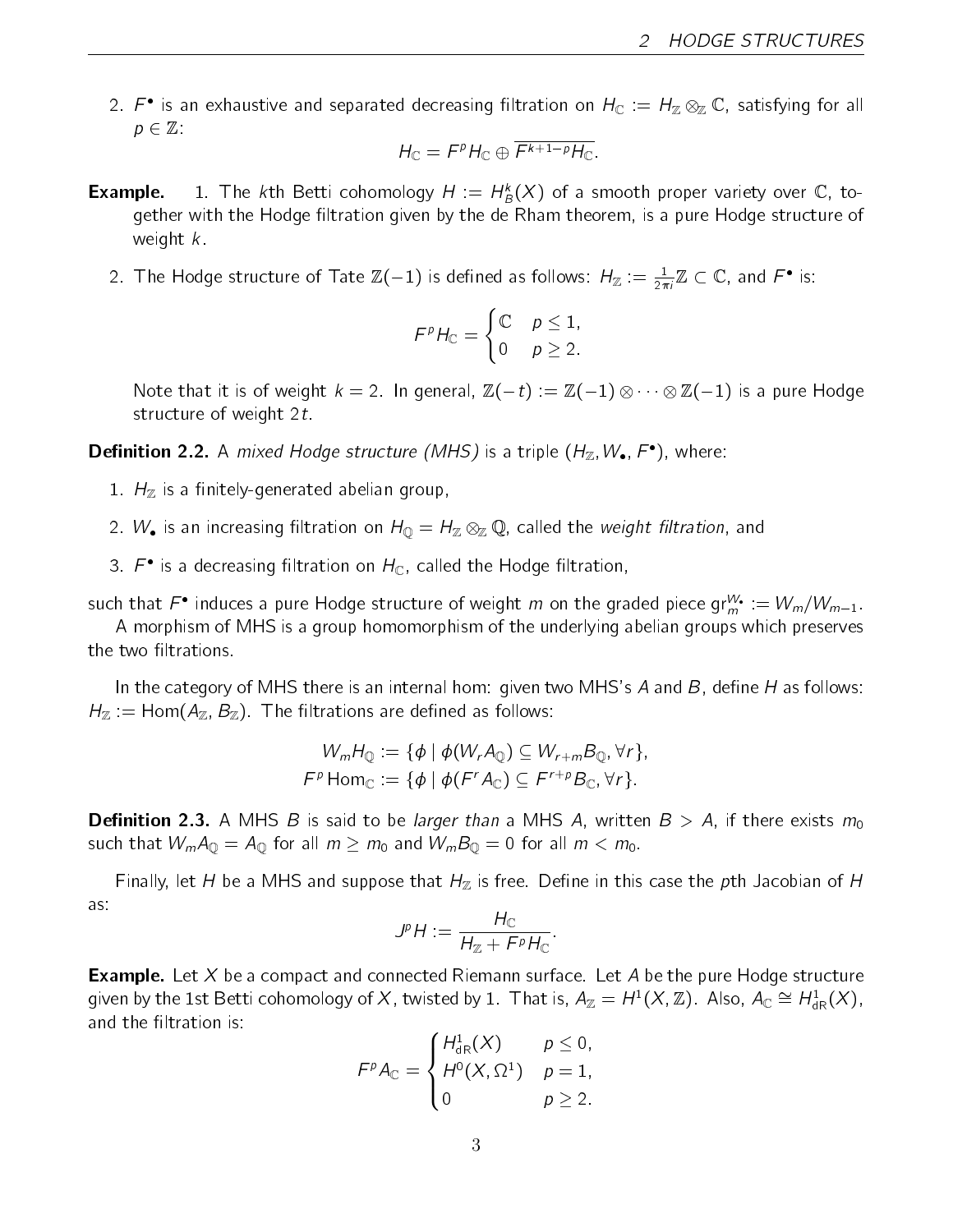2.  $F^{\bullet}$  is an exhaustive and separated decreasing filtration on  $H_{\mathbb C}$   $:= H_{\mathbb Z} \otimes_{\mathbb Z} {\mathbb C}$ , satisfying for all  $p \in \mathbb{Z}$ .

$$
H_{\mathbb{C}} = F^p H_{\mathbb{C}} \oplus \overline{F^{k+1-p} H_{\mathbb{C}}}.
$$

- **Example.** 1. The kth Betti cohomology  $H := H^k_B(X)$  of a smooth proper variety over  $\mathbb C$ , together with the Hodge filtration given by the de Rham theorem, is a pure Hodge structure of weight  $k$ .
	- 2. The Hodge structure of Tate  $\mathbb{Z}(-1)$  is defined as follows:  $H_{\mathbb{Z}} := \frac{1}{2\pi i} \mathbb{Z} \subset \mathbb{C}$ , and  $F^{\bullet}$  is:

$$
F^p H_{\mathbb{C}} = \begin{cases} \mathbb{C} & p \le 1, \\ 0 & p \ge 2. \end{cases}
$$

Note that it is of weight  $k=2$  . In general,  $\mathbb Z(-t) := \mathbb Z(-1) \otimes \cdots \otimes \mathbb Z(-1)$  is a pure Hodge structure of weight 2t.

**Definition 2.2.** A mixed Hodge structure (MHS) is a triple  $(H_{\mathbb{Z}}, W_{\bullet}, F^{\bullet})$ , where:

- 1.  $H_{\mathbb{Z}}$  is a finitely-generated abelian group,
- 2.  $W_{\bullet}$  is an increasing filtration on  $H_{\mathbb Q}=H_{\mathbb Z}\otimes_{\mathbb Z}{\mathbb Q}$ , called the *weight filtration*, and
- 3.  $F^{\bullet}$  is a decreasing filtration on  $H_{\mathbb{C}}$ , called the Hodge filtration,

such that  $F^\bullet$  induces a pure Hodge structure of weight  $m$  on the graded piece gr $_{m}^W:=W_m/W_{m-1}.$ 

A morphism of MHS is a group homomorphism of the underlying abelian groups which preserves the two filtrations.

In the category of MHS there is an internal hom: given two MHS's  $A$  and  $B$ , define  $H$  as follows:  $H_{\mathbb{Z}} := \text{Hom}(A_{\mathbb{Z}}, B_{\mathbb{Z}})$ . The filtrations are defined as follows:

$$
W_mH_{\mathbb{Q}} := \{ \phi \mid \phi(W_rA_{\mathbb{Q}}) \subseteq W_{r+m}B_{\mathbb{Q}}, \forall r \},
$$
  

$$
F^p \text{Hom}_{\mathbb{C}} := \{ \phi \mid \phi(F^rA_{\mathbb{C}}) \subseteq F^{r+p}B_{\mathbb{C}}, \forall r \}.
$$

**Definition 2.3.** A MHS B is said to be larger than a MHS A, written  $B > A$ , if there exists  $m_0$ such that  $W_m A_{\mathbb{Q}} = A_{\mathbb{Q}}$  for all  $m \ge m_0$  and  $W_m B_{\mathbb{Q}} = 0$  for all  $m < m_0$ .

Finally, let H be a MHS and suppose that  $H_{\mathbb{Z}}$  is free. Define in this case the pth Jacobian of H as:

$$
J^p H := \frac{H_{\mathbb{C}}}{H_{\mathbb{Z}} + F^p H_{\mathbb{C}}}
$$

:

**Example.** Let  $X$  be a compact and connected Riemann surface. Let  $A$  be the pure Hodge structure given by the 1st Betti cohomology of  $X$ , twisted by 1. That is,  $A_\Z=H^1(X,\Z)$ . Also,  $A_\mathbb C\cong H^1_\mathrm{dR}(X)$ , and the filtration is:

$$
\mathcal{F}^p A_{\mathbb{C}} = \begin{cases} H_{\mathrm{dR}}^1(X) & p \leq 0, \\ H^0(X, \Omega^1) & p = 1, \\ 0 & p \geq 2. \end{cases}
$$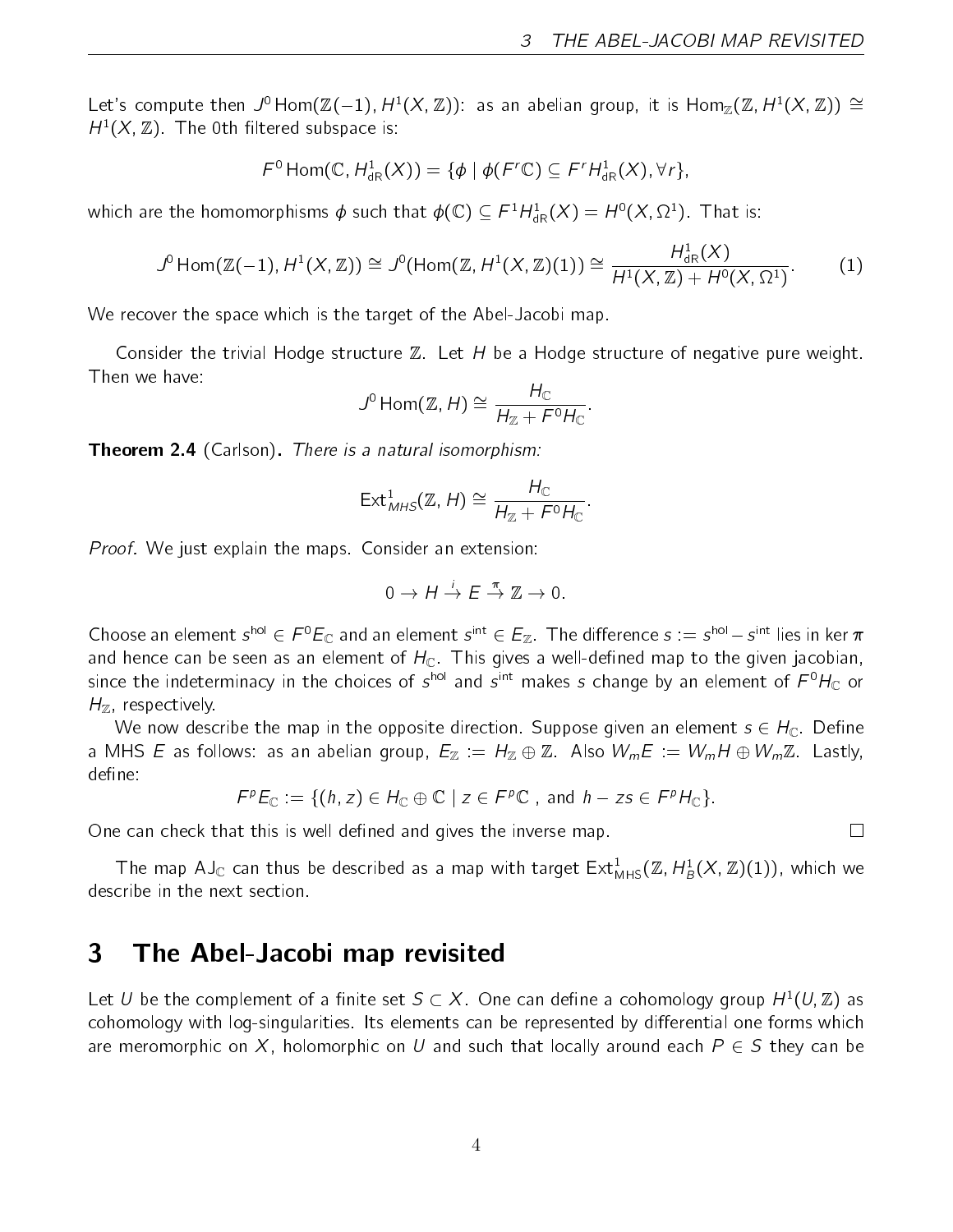Let's compute then  $\mathcal{J}^0$  Hom $(\mathbb{Z}(-1),$   $H^1(X,\mathbb{Z}))$ : as an abelian group, it is  $\mathsf{Hom}_{\mathbb{Z}}(\mathbb{Z},$   $H^1(X,\mathbb{Z}))\cong$  $H^1(X,\mathbb{Z})$ . The 0th filtered subspace is:

$$
\mathcal{F}^0 \operatorname{Hom}(\mathbb{C}, H^1_{\mathrm{dR}}(X)) = \{ \phi \mid \phi(\mathcal{F}'\mathbb{C}) \subseteq \mathcal{F}'H^1_{\mathrm{dR}}(X), \forall r \},
$$

which are the homomorphisms  $\phi$  such that  $\phi(\mathbb{C})\subseteq \digamma^1H^1_{\mathrm{dR}}(X)=H^0(X,\Omega^1).$  That is:

$$
J^{0} \text{Hom}(\mathbb{Z}(-1), H^{1}(X, \mathbb{Z})) \cong J^{0}(\text{Hom}(\mathbb{Z}, H^{1}(X, \mathbb{Z})(1)) \cong \frac{H_{dR}^{1}(X)}{H^{1}(X, \mathbb{Z}) + H^{0}(X, \Omega^{1})}.
$$
 (1)

We recover the space which is the target of the Abel-Jacobi map.

Consider the trivial Hodge structure  $\mathbb Z$ . Let H be a Hodge structure of negative pure weight. Then we have:

$$
J^0 \operatorname{Hom}(\mathbb{Z}, H) \cong \frac{H_{\mathbb{C}}}{H_{\mathbb{Z}} + F^0 H_{\mathbb{C}}}.
$$

**Theorem 2.4** (Carlson). There is a natural isomorphism:

$$
\mathsf{Ext}^1_{MHS}(\mathbb{Z}, H) \cong \frac{H_{\mathbb{C}}}{H_{\mathbb{Z}} + F^0 H_{\mathbb{C}}}.
$$

Proof. We just explain the maps. Consider an extension:

$$
0 \to H \stackrel{i}{\to} E \stackrel{\pi}{\to} \mathbb{Z} \to 0.
$$

Choose an element  $s^{hol} \in F^0E_{\mathbb C}$  and an element  $s^{int} \in E_{\mathbb Z}$ . The difference  $s:=s^{hol}-s^{int}$  lies in ker  $\pi$ and hence can be seen as an element of  $H_{\mathbb{C}}$ . This gives a well-defined map to the given jacobian, since the indeterminacy in the choices of  $s^{\mathsf{hol}}$  and  $s^{\mathsf{int}}$  makes  $s$  change by an element of  $F^0 H_\mathbb C$  or  $H_{\mathbb{Z}}$ , respectively.

We now describe the map in the opposite direction. Suppose given an element  $s \in H_{\mathbb{C}}$ . Define a MHS E as follows: as an abelian group,  $E_{\mathbb{Z}} := H_{\mathbb{Z}} \oplus \mathbb{Z}$ . Also  $W_m E := W_m H \oplus W_m \mathbb{Z}$ . Lastly, define:

$$
F^p E_{\mathbb{C}} := \{ (h, z) \in H_{\mathbb{C}} \oplus \mathbb{C} \mid z \in F^p \mathbb{C} \text{ , and } h - zs \in F^p H_{\mathbb{C}} \}.
$$

One can check that this is well defined and gives the inverse map.

The map AJ $_{\mathbb C}$  can thus be described as a map with target  $\mathsf{Ext}^1_{\mathsf{MHS}}(\mathbb Z_\cdot \mathsf{H}^1_\mathcal B(X_\cdot\mathbb Z)(1)),$  which we describe in the next section.

#### 3 The Abel-Jacobi map revisited

Let  $U$  be the complement of a finite set  $S \subset X$ . One can define a cohomology group  $H^1(U,{\mathbb Z})$  as cohomology with log-singularities. Its elements can be represented by differential one forms which are meromorphic on X, holomorphic on U and such that locally around each  $P \in S$  they can be

 $\Box$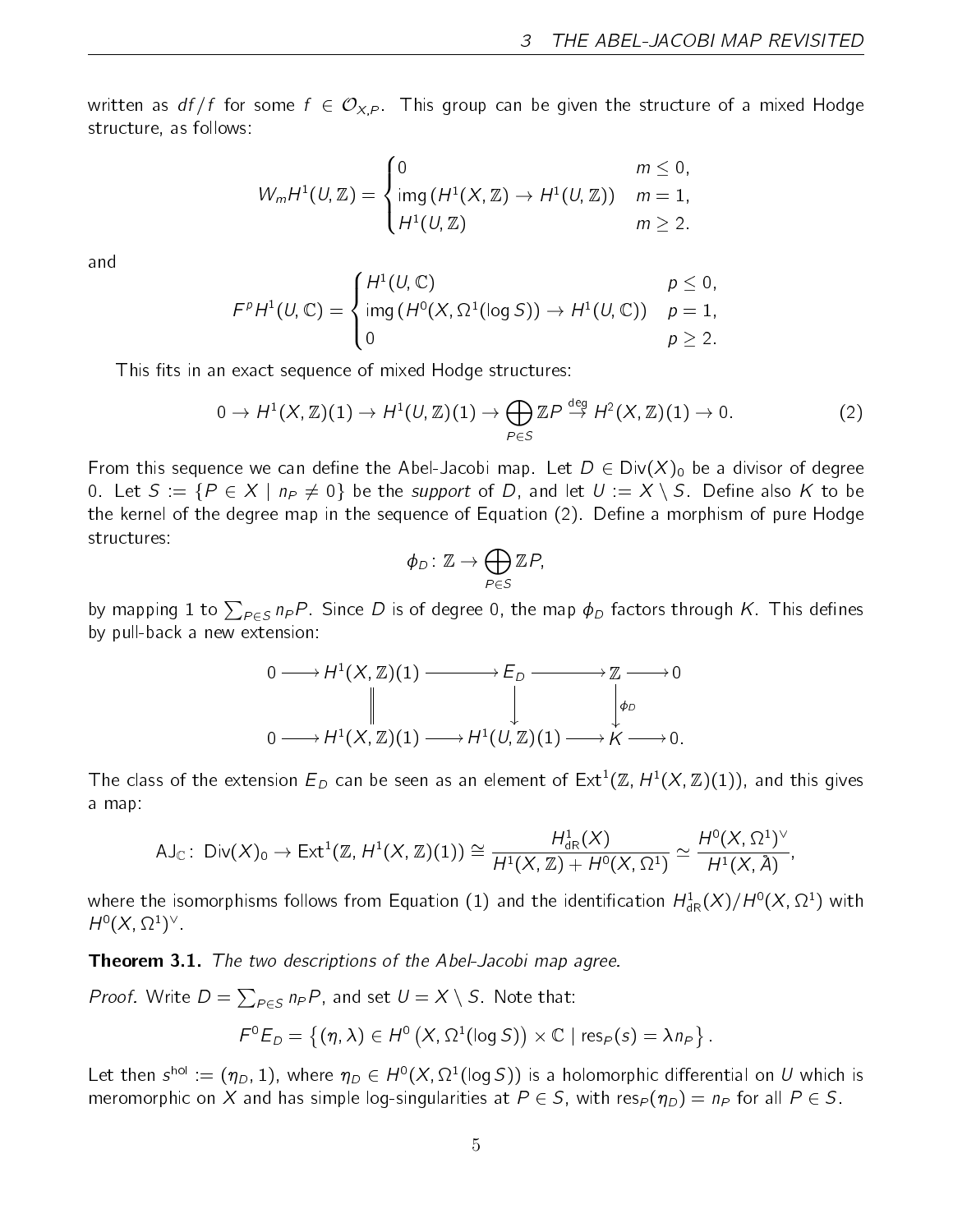written as  $df/f$  for some  $f \in \mathcal{O}_{X,P}$ . This group can be given the structure of a mixed Hodge structure, as follows:

$$
W_m H^1(U, \mathbb{Z}) = \begin{cases} 0 & m \leq 0, \\ \text{img } (H^1(X, \mathbb{Z}) \to H^1(U, \mathbb{Z})) & m = 1, \\ H^1(U, \mathbb{Z}) & m \geq 2. \end{cases}
$$

and

$$
FpH1(U, \mathbb{C}) = \begin{cases} H1(U, \mathbb{C}) & p \leq 0, \\ \text{img } (H0(X, \Omega1(\log S)) \to H1(U, \mathbb{C})) & p = 1, \\ 0 & p \geq 2. \end{cases}
$$

This fits in an exact sequence of mixed Hodge structures:

$$
0 \to H^1(X, \mathbb{Z})(1) \to H^1(U, \mathbb{Z})(1) \to \bigoplus_{P \in S} \mathbb{Z}P \stackrel{\text{deg}}{\to} H^2(X, \mathbb{Z})(1) \to 0. \tag{2}
$$

From this sequence we can define the Abel-Jacobi map. Let  $D \in Div(X)_0$  be a divisor of degree 0. Let  $S = \{P \in X \mid n_P \neq 0\}$  be the support of D, and let  $U := X \setminus S$ . Define also K to be the kernel of the degree map in the sequence of Equation (2). Define a morphism of pure Hodge structures:

$$
\phi_D\colon \mathbb{Z}\to \bigoplus_{P\in S}\mathbb{Z}P,
$$

by mapping  $1$  to  $\sum_{P\in\mathcal{S}}$   $n_P P$ . Since  $D$  is of degree 0, the map  $\phi_D$  factors through  $K$  . This defines by pull-back a new extension:

$$
0 \longrightarrow H^{1}(X, \mathbb{Z})(1) \longrightarrow E_{D} \longrightarrow \mathbb{Z} \longrightarrow 0
$$
  
\n
$$
\parallel \qquad \qquad \downarrow \qquad \qquad \downarrow \qquad \downarrow \qquad \downarrow \qquad \downarrow \qquad \downarrow \qquad \downarrow \qquad \downarrow \qquad \downarrow \qquad \downarrow \qquad \downarrow \qquad \downarrow \qquad \downarrow \qquad \downarrow \qquad \downarrow \qquad \downarrow \qquad \downarrow \qquad \downarrow \qquad \downarrow \qquad \downarrow \qquad \downarrow \qquad \downarrow \qquad \downarrow \qquad \downarrow \qquad \downarrow \qquad \downarrow \qquad \downarrow \qquad \downarrow \qquad \downarrow \qquad \downarrow \qquad \downarrow \qquad \downarrow \qquad \downarrow \qquad \downarrow \qquad \downarrow \qquad \downarrow \qquad \downarrow \qquad \downarrow \qquad \downarrow \qquad \downarrow \qquad \downarrow \qquad \downarrow \qquad \downarrow \qquad \downarrow \qquad \downarrow \qquad \downarrow \qquad \downarrow \qquad \downarrow \qquad \downarrow \qquad \downarrow \qquad \downarrow \qquad \downarrow \qquad \downarrow \qquad \downarrow \qquad \downarrow \qquad \downarrow \qquad \downarrow \qquad \downarrow \qquad \downarrow \qquad \downarrow \qquad \downarrow \qquad \downarrow \qquad \downarrow \qquad \downarrow \qquad \downarrow \qquad \downarrow \qquad \downarrow \qquad \downarrow \qquad \downarrow \qquad \downarrow \qquad \downarrow \qquad \downarrow \qquad \downarrow \qquad \downarrow \qquad \downarrow \qquad \downarrow \qquad \downarrow \qquad \downarrow \qquad \downarrow \qquad \downarrow \qquad \downarrow \qquad \downarrow \qquad \downarrow \qquad \downarrow \qquad \downarrow \qquad \downarrow \qquad \downarrow \qquad \downarrow \qquad \downarrow \qquad \downarrow \qquad \downarrow \qquad \downarrow \qquad \downarrow \qquad \downarrow \qquad \downarrow \qquad \downarrow \qquad \downarrow \qquad \downarrow \qquad \downarrow \qquad \downarrow \qquad \downarrow \qquad \downarrow \qquad \downarrow \qquad \downarrow \qquad \downarrow \qquad \downarrow \qquad \downarrow \qquad \downarrow \qquad \downarrow \qquad \downarrow \qquad \downarrow \qquad \downarrow \qquad \downarrow \qquad \downarrow \qquad \downarrow \qquad \downarrow \qquad \downarrow \qquad
$$

The class of the extension  $E_D$  can be seen as an element of  $\mathsf{Ext}^1(\mathbb{Z}, H^1(X,\mathbb{Z})(1)),$  and this gives a map:

$$
\mathsf{AJ}_\mathbb{C}\colon\operatorname{\mathsf{Div}}(X)_0\to\operatorname{\mathsf{Ext}}^1(\mathbb{Z},H^1(X,\mathbb{Z})(1))\cong\frac{H^1_{\operatorname{dR}}(X)}{H^1(X,\mathbb{Z})+H^0(X,\Omega^1)}\simeq\frac{H^0(X,\Omega^1)^\vee}{H^1(X,\AA)},
$$

where the isomorphisms follows from Equation  $(1)$  and the identification  $H^1_{\mathrm{dR}}(X)/H^0(X,\Omega^1)$  with  $H^0(X, \Omega^1)^{\vee}.$ 

**Theorem 3.1.** The two descriptions of the Abel-Jacobi map agree.

*Proof.* Write  $D = \sum_{P \in S} n_P P$ , and set  $U = X \setminus S$ . Note that:

$$
F^{0}E_{D} = \{(\eta, \lambda) \in H^{0}\left(X, \Omega^{1}(\log S)\right) \times \mathbb{C} \mid \text{res}_{P}(s) = \lambda n_{P}\}.
$$

Let then  $s^{\text{hol}}:=(\eta_D,1)$ , where  $\eta_D\in H^0(X,\Omega^1(\log S))$  is a holomorphic differential on  $U$  which is meromorphic on X and has simple log-singularities at  $P \in S$ , with res $_P$  ( $\eta_D$ ) =  $n_P$  for all  $P \in S$ .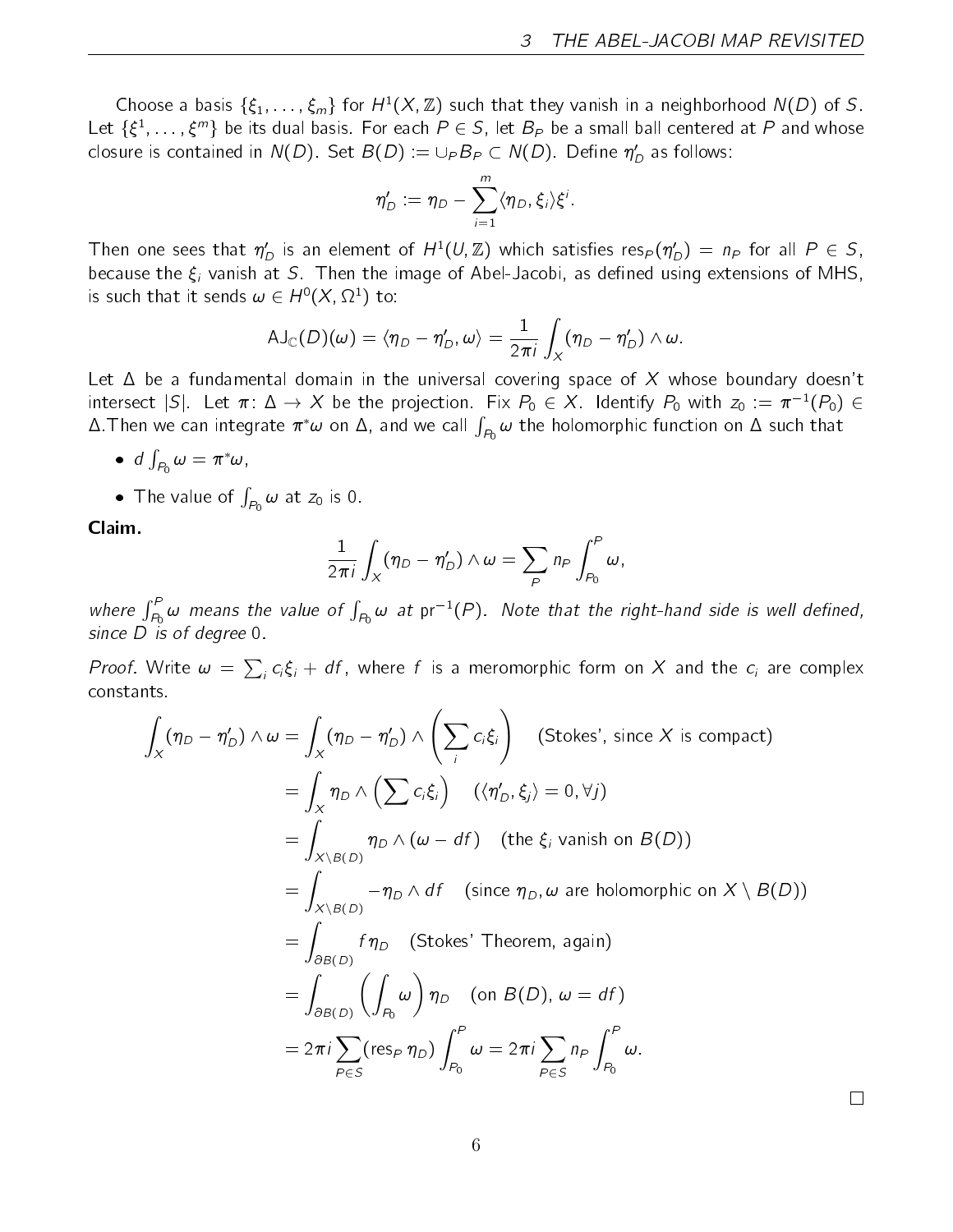Choose a basis  $\{\xi_1, \ldots, \xi_m\}$  for  $H^1(X, \mathbb{Z})$  such that they vanish in a neighborhood  $N(D)$  of S. Let  $\{\xi^1,\ldots,\xi^m\}$  be its dual basis. For each  $P\in S$ , let  $B_P$  be a small ball centered at  $P$  and whose closure is contained in  $N(D)$ . Set  $B(D):=\cup_{P}B_{P}\subset N(D).$  Define  $\eta'_{D}$  as follows:

$$
\eta'_D := \eta_D - \sum_{i=1}^m \langle \eta_D, \xi_i \rangle \xi^i.
$$

Then one sees that  $\eta_D'$  is an element of  $H^1(U,\Z)$  which satisfies res $_P(\eta_D')\,=\,n_P$  for all  $P\,\in\, S$ , because the  $\xi_i$  vanish at S. Then the image of Abel-Jacobi, as defined using extensions of MHS, is such that it sends  $\omega \in H^0(X,\Omega^1)$  to:

$$
AJ_{\mathbb{C}}(D)(\omega) = \langle \eta_D - \eta'_D, \omega \rangle = \frac{1}{2\pi i} \int_X (\eta_D - \eta'_D) \wedge \omega.
$$

Let  $\Delta$  be a fundamental domain in the universal covering space of X whose boundary doesn't intersect  $|{\mathcal S}|$ . Let  $\pi\colon\Delta\to X$  be the projection. Fix  $P_0\in X$ . Identify  $P_0$  with  $z_0\,:=\,\pi^{-1}(P_0)\,\in\,$  $\Delta.$  Then we can integrate  $\pi^*\omega$  on  $\Delta$ , and we call  $\int_{P_0}\omega$  the holomorphic function on  $\Delta$  such that

• d 
$$
\int_{P_0} \omega = \pi^* \omega
$$
,

• The value of  $\int_{P_0} \omega$  at  $z_0$  is 0.

Claim.

$$
\frac{1}{2\pi i}\int_X(\eta_D-\eta'_D)\wedge\omega=\sum_{P}n_P\int_{P_0}^P\omega,
$$

where  $\int_{P_0}^P \omega$  means the value of  $\int_{P_0} \omega$  at  $\text{pr}^{-1}(P)$ . Note that the right-hand side is well defined, since  $\overrightarrow{D}$  is of degree 0.

*Proof.* Write  $\omega = \sum_i c_i \xi_i + df$ , where f is a meromorphic form on X and the  $c_i$  are complex constants.

$$
\int_{X} (\eta_{D} - \eta'_{D}) \wedge \omega = \int_{X} (\eta_{D} - \eta'_{D}) \wedge \left(\sum_{i} c_{i} \xi_{i}\right) \quad \text{(Stokes', since } X \text{ is compact)}\n= \int_{X} \eta_{D} \wedge \left(\sum_{i} c_{i} \xi_{i}\right) \quad (\langle \eta'_{D}, \xi_{j} \rangle = 0, \forall j)\n= \int_{X \setminus B(D)} \eta_{D} \wedge (\omega - df) \quad \text{(the } \xi_{i} \text{ vanish on } B(D))\n= \int_{X \setminus B(D)} -\eta_{D} \wedge df \quad \text{(since } \eta_{D}, \omega \text{ are holomorphic on } X \setminus B(D))\n= \int_{\partial B(D)} f \eta_{D} \quad \text{(Stokes' Theorem, again)}\n= \int_{\partial B(D)} \left(\int_{P_{0}} \omega\right) \eta_{D} \quad \text{(on } B(D), \omega = df)\n= 2\pi i \sum_{P \in S} (\text{res}_{P} \eta_{D}) \int_{P_{0}}^{P} \omega = 2\pi i \sum_{P \in S} n_{P} \int_{P_{0}}^{P} \omega.
$$

 $\Box$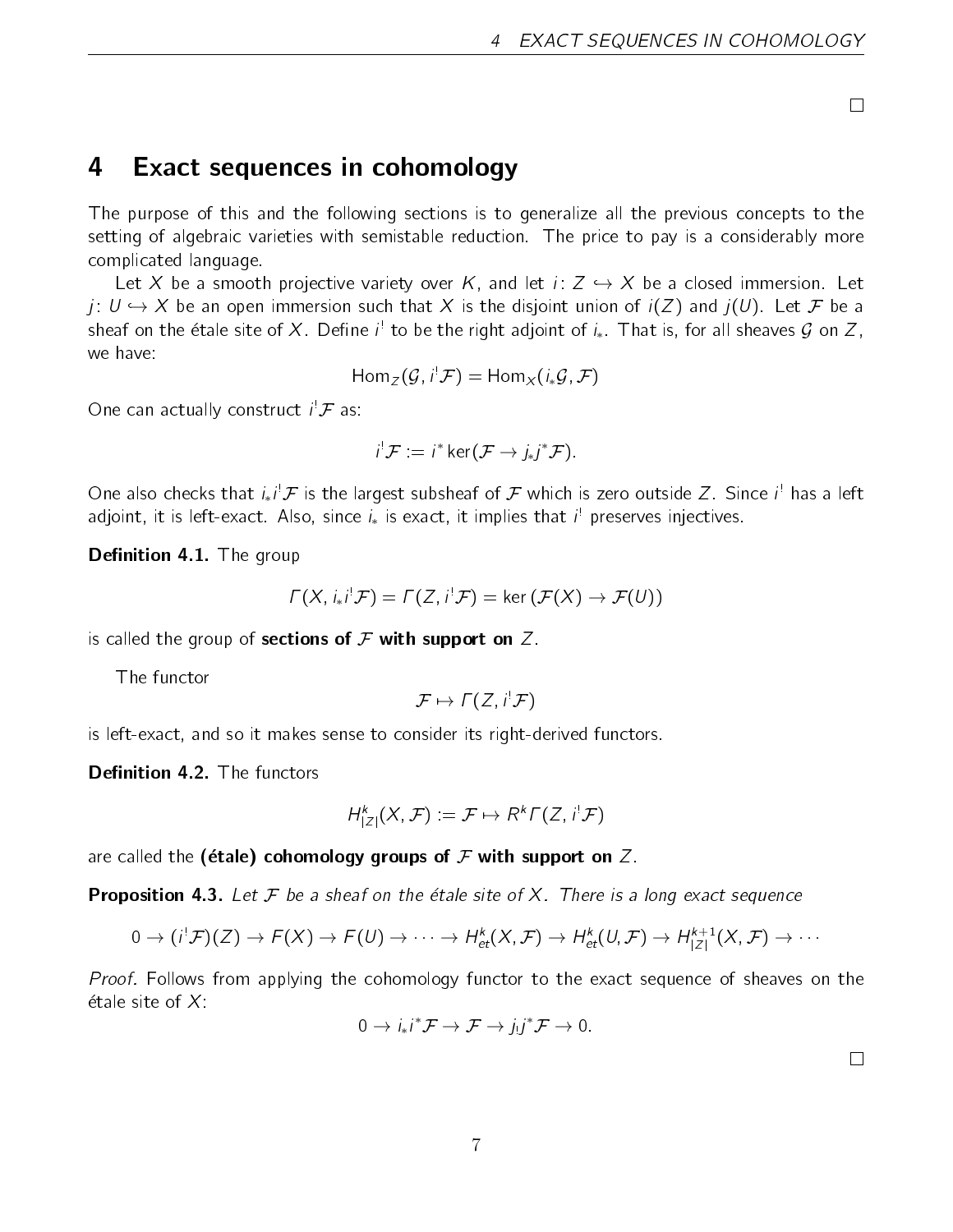$\Box$ 

## 4 Exact sequences in cohomology

The purpose of this and the following sections is to generalize all the previous concepts to the setting of algebraic varieties with semistable reduction. The price to pay is a considerably more complicated language.

Let X be a smooth projective variety over K, and let  $i: Z \hookrightarrow X$  be a closed immersion. Let  $j: U \hookrightarrow X$  be an open immersion such that X is the disjoint union of  $i(Z)$  and  $j(U)$ . Let F be a sheaf on the étale site of  $X.$  Define  $i^!$  to be the right adjoint of  $i_*.$  That is, for all sheaves  ${\cal G}$  on  $Z,$ we have:

$$
\text{Hom}_{\mathcal{Z}}(\mathcal{G}, i^! \mathcal{F}) = \text{Hom}_{X}(i_* \mathcal{G}, \mathcal{F})
$$

One can actually construct  $i^! \mathcal{F}$  as:

$$
i^{\dagger} \mathcal{F} = i^* \ker(\mathcal{F} \rightarrow j_* j^* \mathcal{F}).
$$

One also checks that  $i_*i^!\mathcal{F}$  is the largest subsheaf of  $\mathcal F$  which is zero outside  $Z.$  Since  $i^!$  has a left adjoint, it is left-exact. Also, since  $i_{*}$  is exact, it implies that  $i^!$  preserves injectives.

Definition 4.1. The group

$$
\Gamma(X, i_*i^! \mathcal{F}) = \Gamma(Z, i^! \mathcal{F}) = \ker (\mathcal{F}(X) \to \mathcal{F}(U))
$$

is called the group of **sections of**  $\mathcal F$  **with support on**  $Z$ .

The functor

$$
\mathcal{F} \mapsto \Gamma(Z, i^! \mathcal{F})
$$

is left-exact, and so it makes sense to consider its right-derived functors.

**Definition 4.2.** The functors

$$
H^k|Z|(X,\mathcal{F}) := \mathcal{F} \mapsto R^k \Gamma(Z,i^! \mathcal{F})
$$

are called the (étale) cohomology groups of  ${\cal F}$  with support on  $Z$ .

**Proposition 4.3.** Let  $F$  be a sheaf on the étale site of X. There is a long exact sequence

$$
0 \to (i^{!}\mathcal{F})(Z) \to F(X) \to F(U) \to \cdots \to H_{et}^{k}(X,\mathcal{F}) \to H_{et}^{k}(U,\mathcal{F}) \to H_{|Z|}^{k+1}(X,\mathcal{F}) \to \cdots
$$

Proof. Follows from applying the cohomology functor to the exact sequence of sheaves on the étale site of  $X^{\perp}$ 

$$
0 \to i_*i^* \mathcal{F} \to \mathcal{F} \to j_!j^* \mathcal{F} \to 0.
$$

 $\Box$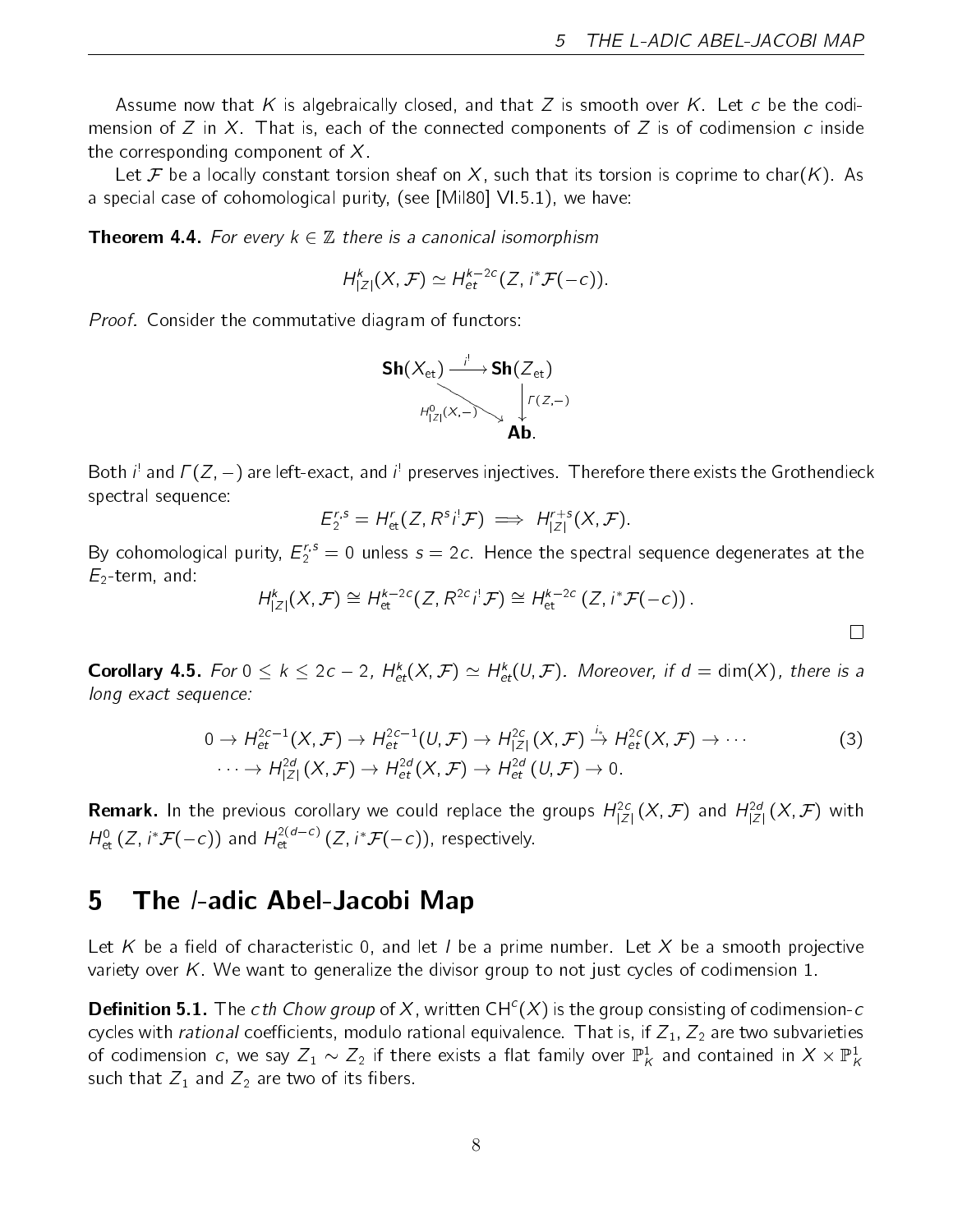Assume now that K is algebraically closed, and that Z is smooth over K. Let c be the codimension of Z in X. That is, each of the connected components of Z is of codimension c inside the corresponding component of  $X$ .

Let F be a locally constant torsion sheaf on X, such that its torsion is coprime to char(K). As a special case of cohomological purity, (see [Mil80] VI.5.1), we have:

**Theorem 4.4.** For every  $k \in \mathbb{Z}$  there is a canonical isomorphism

$$
H^k|Z|(X,\mathcal{F})\simeq H^{k-2c}_{\text{et}}(Z,i^*\mathcal{F}(-c)).
$$

Proof. Consider the commutative diagram of functors:



Both  $i^!$  and  $\varGamma(Z,-)$  are left-exact, and  $i^!$  preserves injectives. Therefore there exists the Grothendieck spectral sequence:

$$
E_2^{r,s}=H_{\text{et}}^r(Z,R^s i^! \mathcal{F}) \implies H_{|Z|}^{r+s}(X,\mathcal{F}).
$$

By cohomological purity,  $E_2^{r,s} = 0$  unless  $s = 2c$ . Hence the spectral sequence degenerates at the  $E_2$ -term, and:

$$
H_{|Z|}^k(X,\mathcal{F}) \cong H_{\mathrm{et}}^{k-2c}(Z,R^{2c}i^!\mathcal{F}) \cong H_{\mathrm{et}}^{k-2c}(Z,i^*\mathcal{F}(-c)).
$$

**Corollary 4.5.** For  $0 \le k \le 2c - 2$ ,  $H_{et}^k(X, \mathcal{F}) \simeq H_{et}^k(U, \mathcal{F})$ . Moreover, if  $d = \dim(X)$ , there is a long exact sequence:

$$
0 \to H_{\text{et}}^{2c-1}(X, \mathcal{F}) \to H_{\text{et}}^{2c-1}(U, \mathcal{F}) \to H_{|Z|}^{2c}(X, \mathcal{F}) \stackrel{i_*}{\to} H_{\text{et}}^{2c}(X, \mathcal{F}) \to \cdots
$$
  

$$
\cdots \to H_{|Z|}^{2d}(X, \mathcal{F}) \to H_{\text{et}}^{2d}(X, \mathcal{F}) \to H_{\text{et}}^{2d}(U, \mathcal{F}) \to 0.
$$
 (3)

**Remark.** In the previous corollary we could replace the groups  $H^{2c}_{|Z|}(X,\mathcal{F})$  and  $H^{2d}_{|Z|}(X,\mathcal{F})$  with  $H^0_{\text{\rm et}}(Z,i^*{\mathcal F}(-c))$  and  $H^{2(d-c)}_{\text{\rm et}}(Z,i^*{\mathcal F}(-c))$ , respectively.

### 5 The /-adic Abel-Jacobi Map

Let K be a field of characteristic 0, and let I be a prime number. Let X be a smooth projective variety over K. We want to generalize the divisor group to not just cycles of codimension 1.

**Definition 5.1.** The cth Chow group of X, written CH<sup>c</sup>(X) is the group consisting of codimension-c cycles with *rational* coefficients, modulo rational equivalence. That is, if  $Z_1$ ,  $Z_2$  are two subvarieties of codimension  $c$ , we say  $Z_1\sim Z_2$  if there exists a flat family over  $\mathbb{P}^1_K$  and contained in  $X\times \mathbb{P}^1_K$ such that  $Z_1$  and  $Z_2$  are two of its fibers.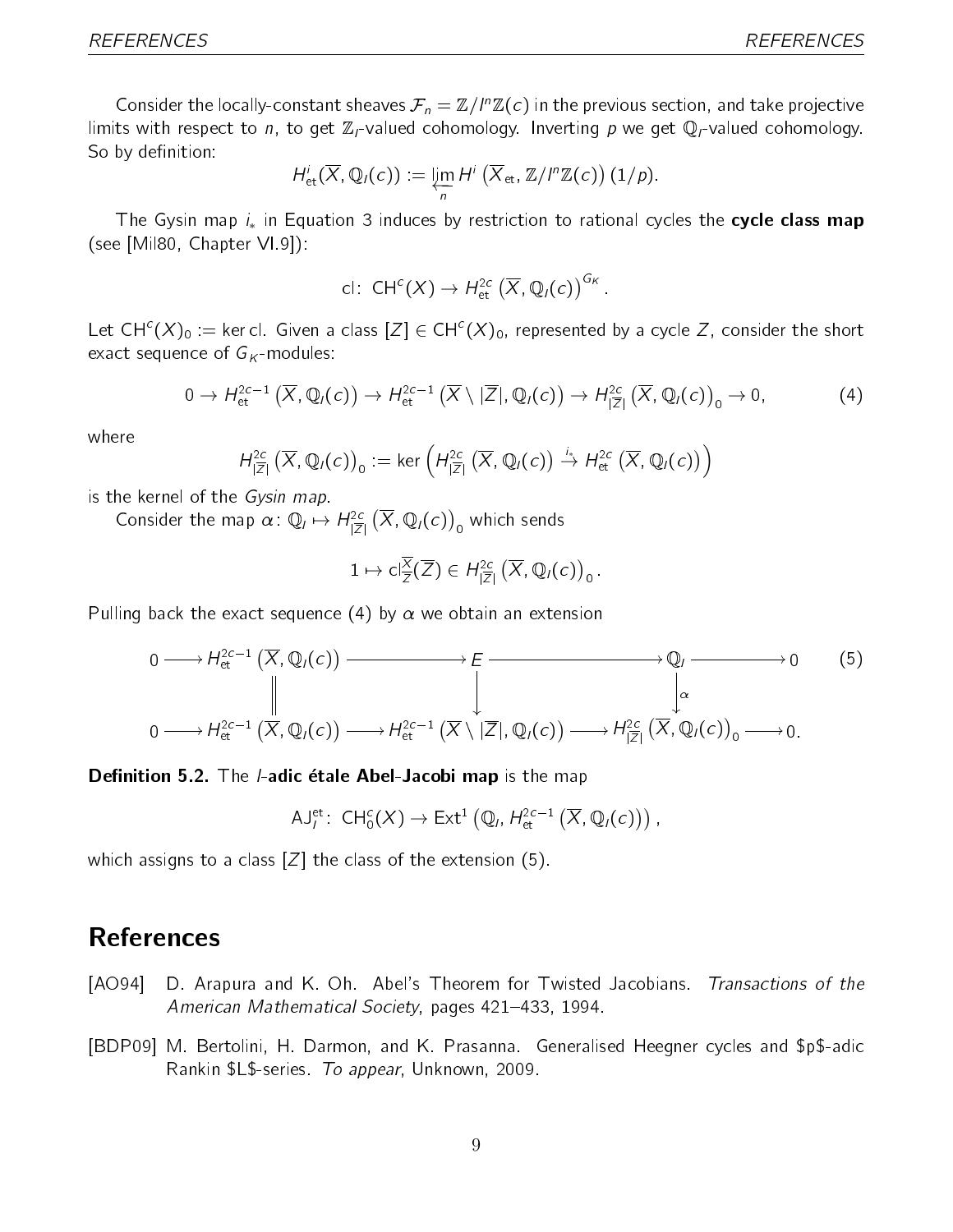Consider the locally-constant sheaves  $\mathcal{F}_n=\mathbb{Z}/I^n\mathbb{Z}(c)$  in the previous section, and take projective limits with respect to n, to get  $\mathbb{Z}_l$ -valued cohomology. Inverting p we get  $\mathbb{Q}_l$ -valued cohomology. So by definition:

$$
H^i_{\text{et}}(\overline{X},\mathbb{Q}_I(c)) := \varprojlim_n H^i(\overline{X}_{\text{et}},\mathbb{Z}/I^n\mathbb{Z}(c))(1/p).
$$

The Gysin map  $i_*$  in Equation 3 induces by restriction to rational cycles the cycle class map (see [Mil80, Chapter VI.9]):

$$
\text{cl} : \text{CH}^c(X) \to H^{2c}_{\text{et}}(\overline{X}, \mathbb{Q}_l(c))^{G_K}.
$$

Let CH $^c$ (X) $_0$  := ker cl. Given a class  $[Z]\in$  CH $^c$ (X) $_0$ , represented by a cycle Z, consider the short exact sequence of  $G_{K}$ -modules:

$$
0 \to H^{2c-1}_{\text{et}}\left(\overline{X},\mathbb{Q}_I(c)\right) \to H^{2c-1}_{\text{et}}\left(\overline{X}\setminus|\overline{Z}|,\mathbb{Q}_I(c)\right) \to H^{2c}_{|\overline{Z}|}\left(\overline{X},\mathbb{Q}_I(c)\right)_0 \to 0, \tag{4}
$$

where

$$
H^{2c}_{|\overline{Z}|}(\overline{X},\mathbb{Q}_l(c))_0 := \ker \left(H^{2c}_{|\overline{Z}|}(\overline{X},\mathbb{Q}_l(c)) \stackrel{i_*}{\to} H^{2c}_{\text{et}}(\overline{X},\mathbb{Q}_l(c))\right)
$$

is the kernel of the Gysin map.

Consider the map  $\alpha\colon \mathbb{Q}_l \mapsto H^{2c}_{|\overline{Z}|}\left(\overline{X}, \mathbb{Q}_l(c)\right)_0$  which sends

$$
1 \mapsto \mathsf{cl}_{\overline{Z}}^{\overline{X}}(\overline{Z}) \in H^{2c}_{|\overline{Z}|}(\overline{X},\mathbb{Q}_I(c))_0.
$$

Pulling back the exact sequence (4) by  $\alpha$  we obtain an extension

$$
0 \longrightarrow H_{\text{et}}^{2c-1}(\overline{X}, \mathbb{Q}_l(c)) \longrightarrow E \longrightarrow \mathbb{Q}_l \longrightarrow 0 \qquad (5)
$$
  
\n
$$
\downarrow
$$
\n
$$
0 \longrightarrow H_{\text{et}}^{2c-1}(\overline{X}, \mathbb{Q}_l(c)) \longrightarrow H_{\text{et}}^{2c-1}(\overline{X} \setminus |\overline{Z}|, \mathbb{Q}_l(c)) \longrightarrow H_{|\overline{Z}|}^{2c}(\overline{X}, \mathbb{Q}_l(c))_0 \longrightarrow 0.
$$

#### Definition 5.2. The *I*-adic étale Abel-Jacobi map is the map

$$
\mathsf{AJ}^{\mathrm{et}}_l\colon\thinspace \mathsf{CH}^c_0(X)\to \mathsf{Ext}^1\left(\mathbb{Q}_l,H^{2c-1}_{\text{\rm et}}\left(\overline{X},\mathbb{Q}_l(c)\right)\right),
$$

which assigns to a class  $[Z]$  the class of the extension (5).

### **References**

- [AO94] D. Arapura and K. Oh. Abel's Theorem for Twisted Jacobians. Transactions of the American Mathematical Society, pages 421-433, 1994.
- [BDP09] M. Bertolini, H. Darmon, and K. Prasanna. Generalised Heegner cycles and \$p\$-adic Rankin \$L\$-series. To appear, Unknown, 2009.